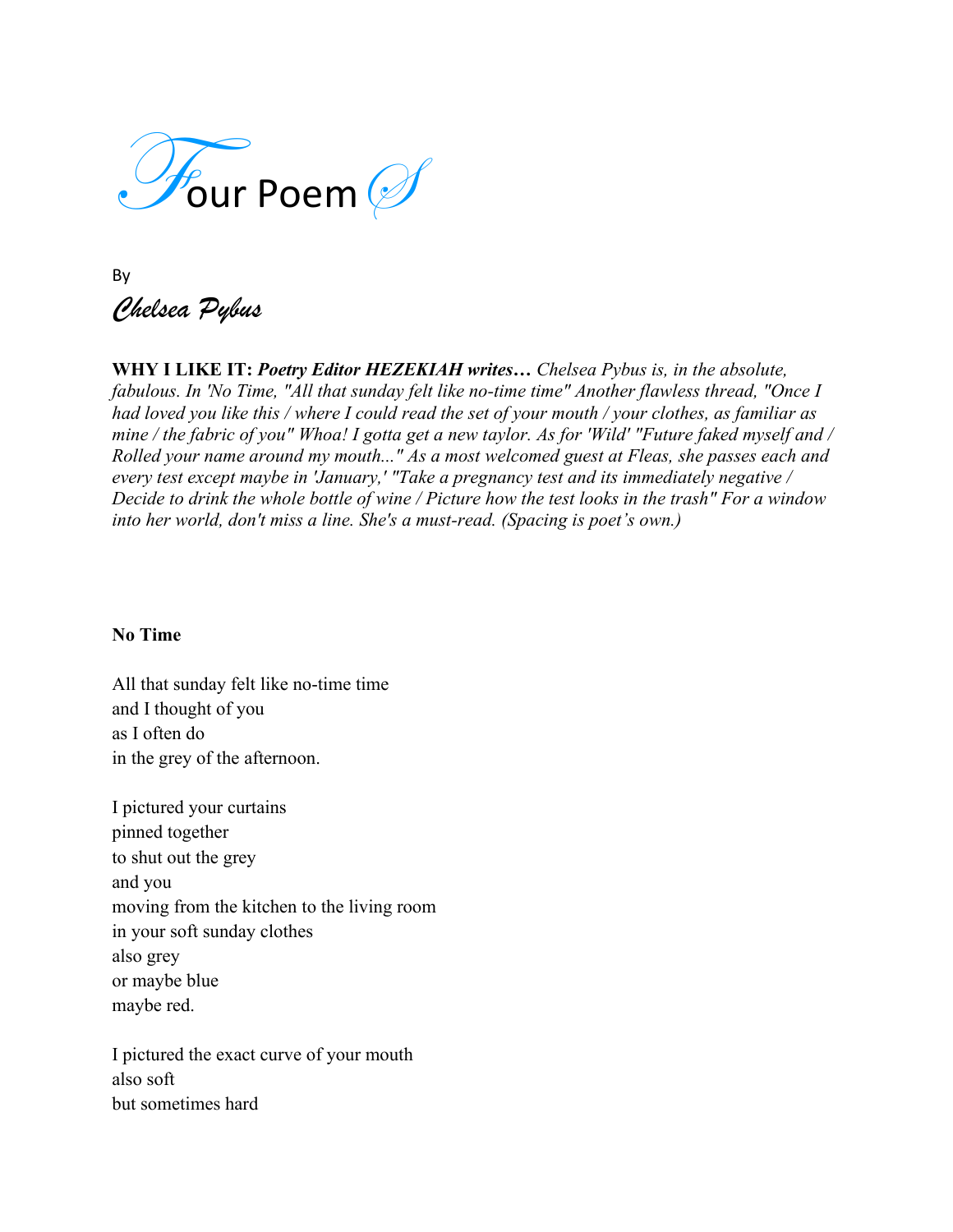

By *Chelsea Pybus*

**WHY I LIKE IT:** *Poetry Editor HEZEKIAH writes… Chelsea Pybus is, in the absolute, fabulous. In 'No Time, "All that sunday felt like no-time time" Another flawless thread, "Once I had loved you like this / where I could read the set of your mouth / your clothes, as familiar as mine / the fabric of you" Whoa! I gotta get a new taylor. As for 'Wild' "Future faked myself and / Rolled your name around my mouth..." As a most welcomed guest at Fleas, she passes each and every test except maybe in 'January,' "Take a pregnancy test and its immediately negative / Decide to drink the whole bottle of wine / Picture how the test looks in the trash" For a window into her world, don't miss a line. She's a must-read. (Spacing is poet's own.)*

## **No Time**

All that sunday felt like no-time time and I thought of you as I often do in the grey of the afternoon.

I pictured your curtains pinned together to shut out the grey and you moving from the kitchen to the living room in your soft sunday clothes also grey or maybe blue maybe red.

I pictured the exact curve of your mouth also soft but sometimes hard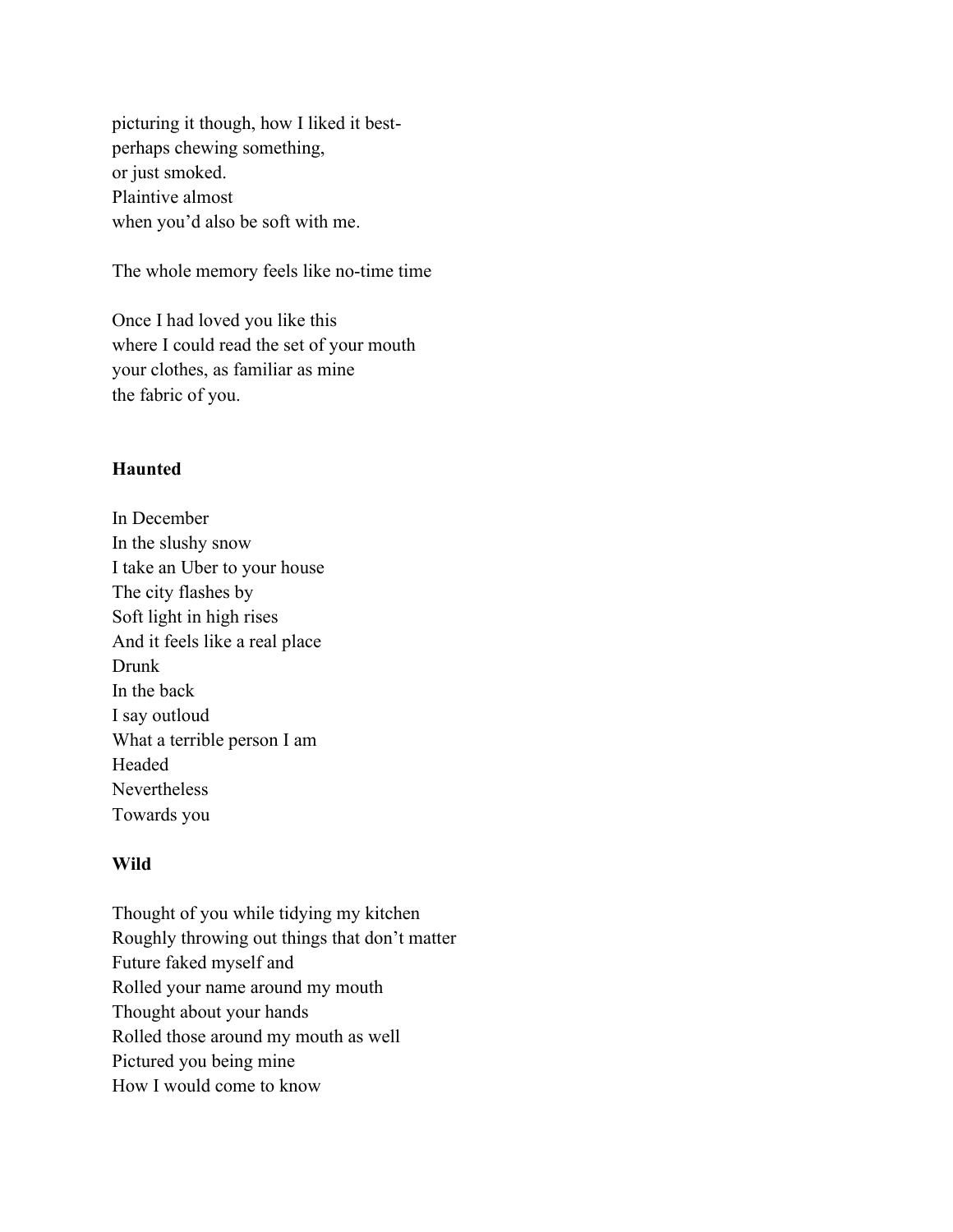picturing it though, how I liked it bestperhaps chewing something, or just smoked. Plaintive almost when you'd also be soft with me.

The whole memory feels like no-time time

Once I had loved you like this where I could read the set of your mouth your clothes, as familiar as mine the fabric of you.

## **Haunted**

In December In the slushy snow I take an Uber to your house The city flashes by Soft light in high rises And it feels like a real place Drunk In the back I say outloud What a terrible person I am Headed Nevertheless Towards you

## **Wild**

Thought of you while tidying my kitchen Roughly throwing out things that don't matter Future faked myself and Rolled your name around my mouth Thought about your hands Rolled those around my mouth as well Pictured you being mine How I would come to know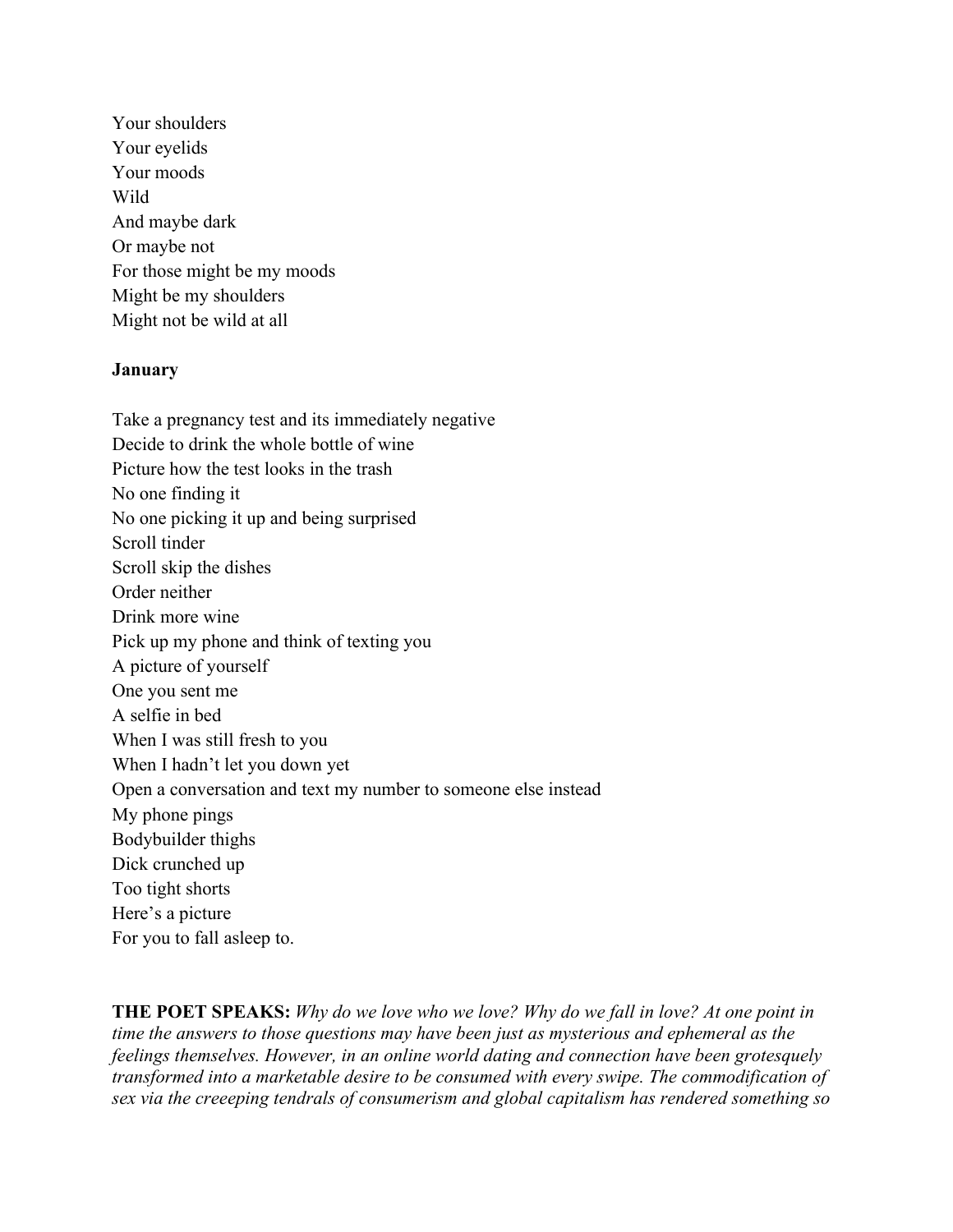Your shoulders Your evelids Your moods Wild And maybe dark Or maybe not For those might be my moods Might be my shoulders Might not be wild at all

## **January**

Take a pregnancy test and its immediately negative Decide to drink the whole bottle of wine Picture how the test looks in the trash No one finding it No one picking it up and being surprised Scroll tinder Scroll skip the dishes Order neither Drink more wine Pick up my phone and think of texting you A picture of yourself One you sent me A selfie in bed When I was still fresh to you When I hadn't let you down yet Open a conversation and text my number to someone else instead My phone pings Bodybuilder thighs Dick crunched up Too tight shorts Here's a picture For you to fall asleep to.

**THE POET SPEAKS:** *Why do we love who we love? Why do we fall in love? At one point in time the answers to those questions may have been just as mysterious and ephemeral as the feelings themselves. However, in an online world dating and connection have been grotesquely transformed into a marketable desire to be consumed with every swipe. The commodification of sex via the creeeping tendrals of consumerism and global capitalism has rendered something so*